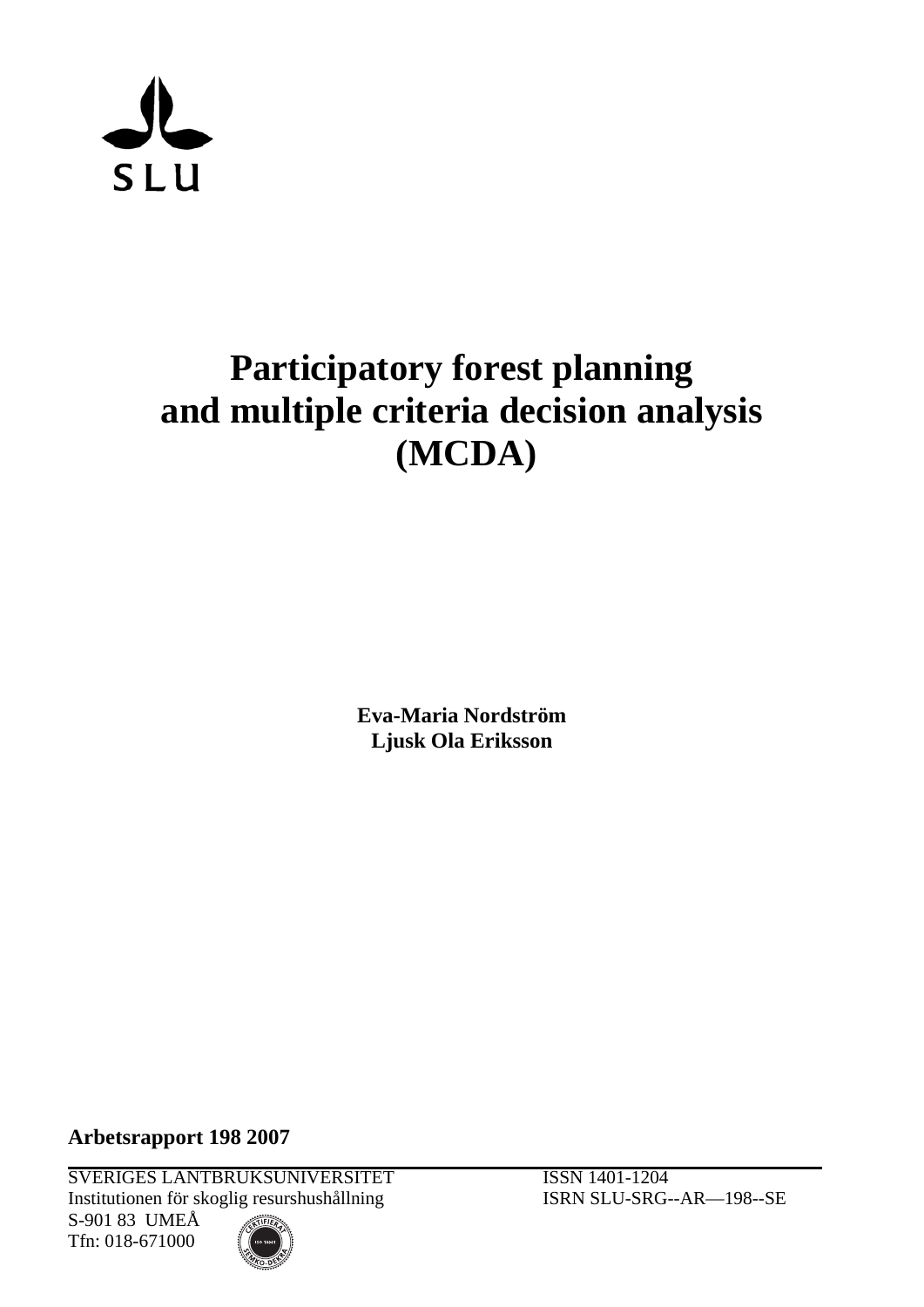

# **Participatory forest planning and multiple criteria decision analysis (MCDA)**

**Eva-Maria Nordström Ljusk Ola Eriksson** 

**Arbetsrapport 198 2007**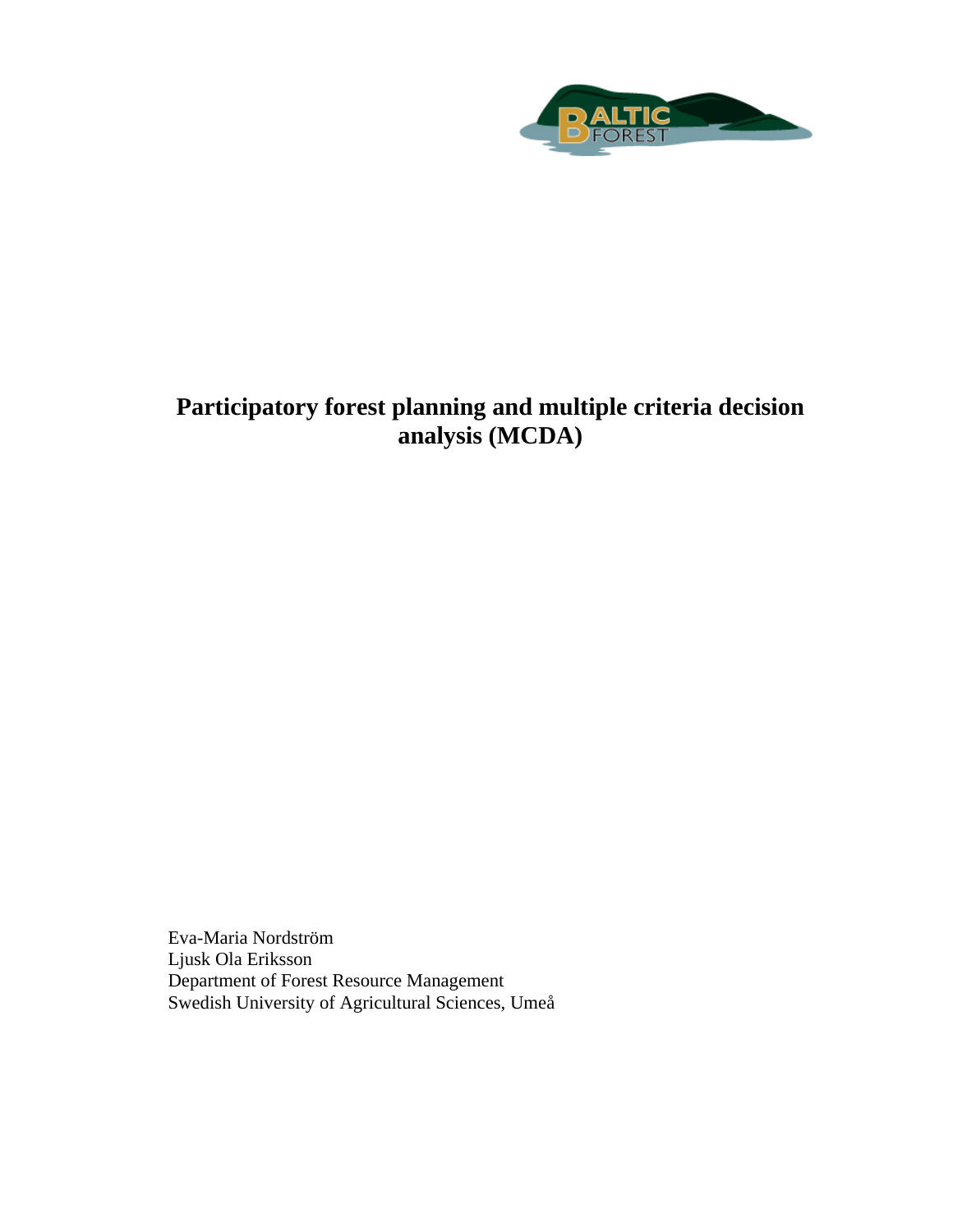

# **Participatory forest planning and multiple criteria decision analysis (MCDA)**

Eva-Maria Nordström Ljusk Ola Eriksson Department of Forest Resource Management Swedish University of Agricultural Sciences, Umeå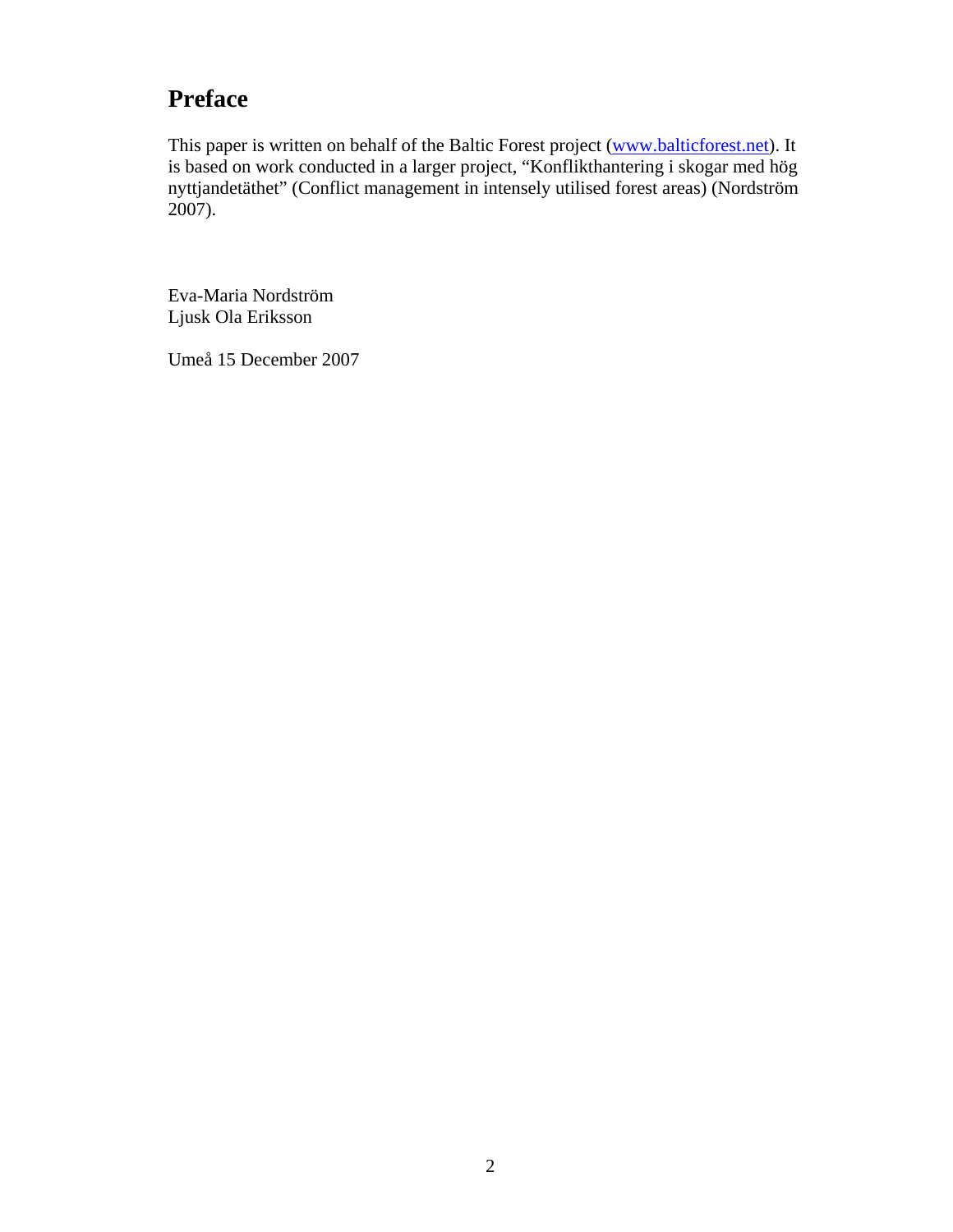# **Preface**

This paper is written on behalf of the Baltic Forest project ([www.balticforest.net](http://www.balticforest.net/)). It is based on work conducted in a larger project, "Konflikthantering i skogar med hög nyttjandetäthet" (Conflict management in intensely utilised forest areas) (Nordström  $2007$ ).

Eva-Maria Nordström Ljusk Ola Eriksson

Umeå 15 December 2007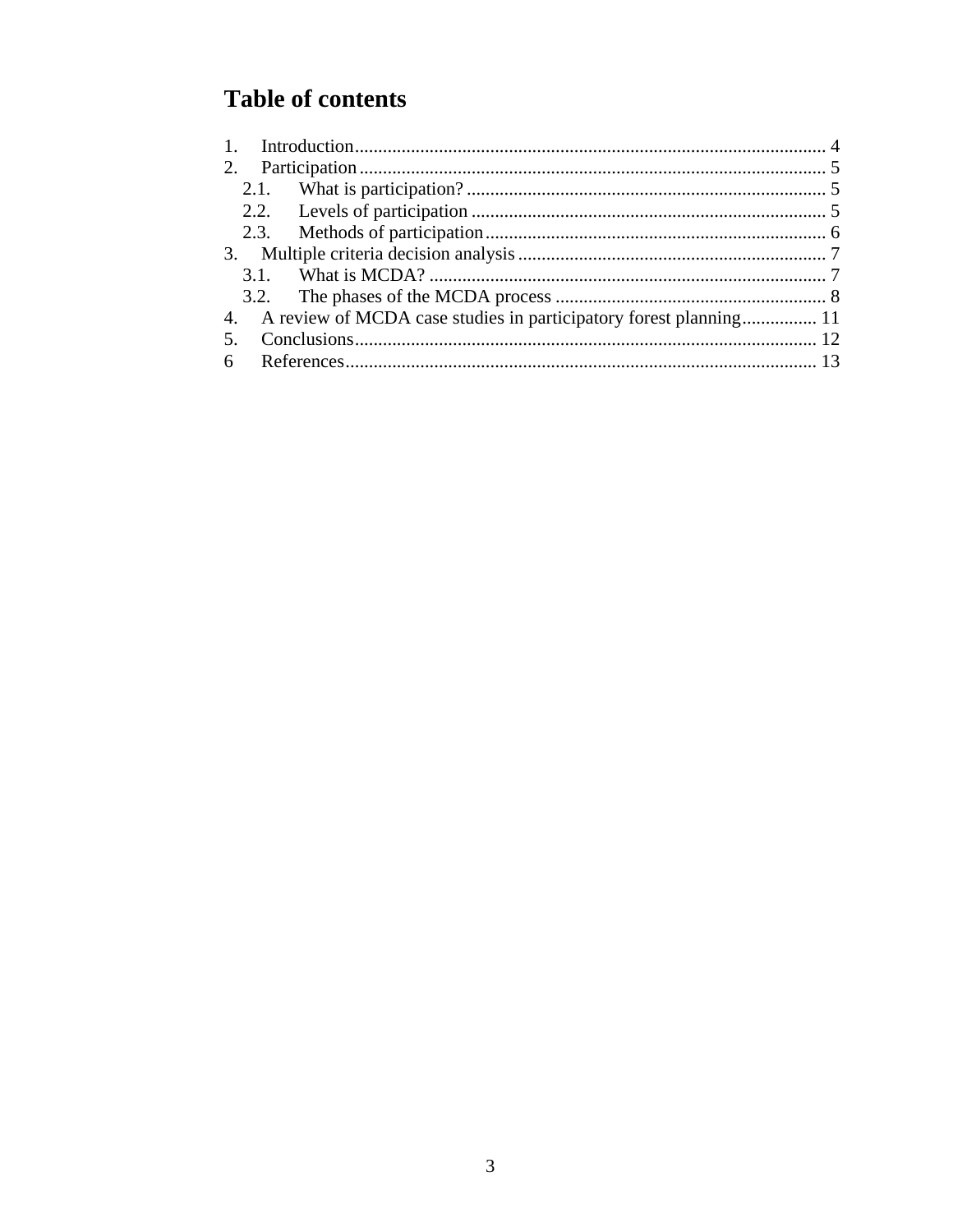# **Table of contents**

| 2. |                                                                      |  |  |
|----|----------------------------------------------------------------------|--|--|
|    |                                                                      |  |  |
|    |                                                                      |  |  |
|    |                                                                      |  |  |
|    |                                                                      |  |  |
|    |                                                                      |  |  |
|    |                                                                      |  |  |
|    | 4. A review of MCDA case studies in participatory forest planning 11 |  |  |
| 5. |                                                                      |  |  |
|    |                                                                      |  |  |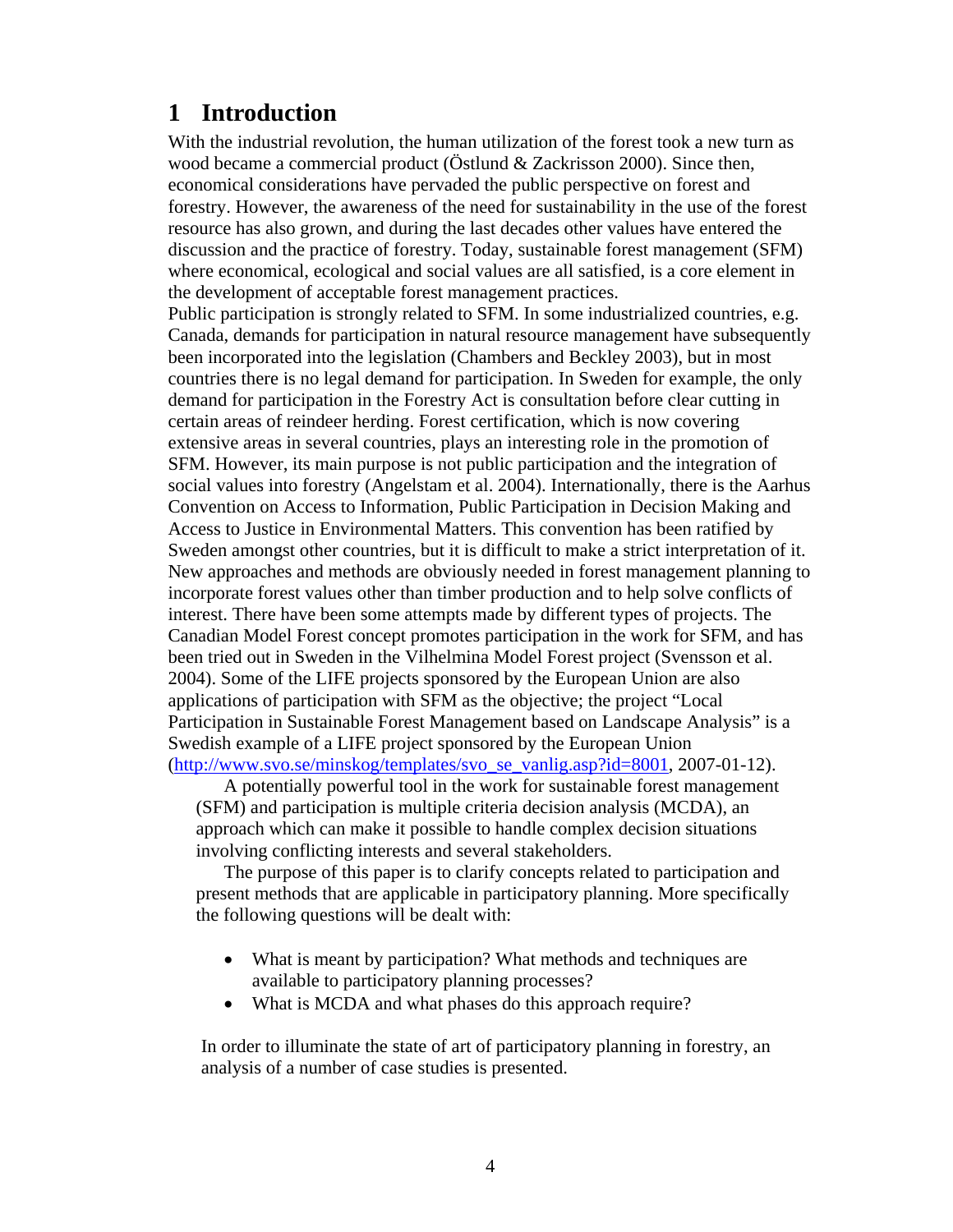## <span id="page-5-0"></span>**1 Introduction**

With the industrial revolution, the human utilization of the forest took a new turn as wood became a commercial product (Östlund & Zackrisson 2000). Since then, economical considerations have pervaded the public perspective on forest and forestry. However, the awareness of the need for sustainability in the use of the forest resource has also grown, and during the last decades other values have entered the discussion and the practice of forestry. Today, sustainable forest management (SFM) where economical, ecological and social values are all satisfied, is a core element in the development of acceptable forest management practices.

Public participation is strongly related to SFM. In some industrialized countries, e.g. Canada, demands for participation in natural resource management have subsequently been incorporated into the legislation (Chambers and Beckley 2003), but in most countries there is no legal demand for participation. In Sweden for example, the only demand for participation in the Forestry Act is consultation before clear cutting in certain areas of reindeer herding. Forest certification, which is now covering extensive areas in several countries, plays an interesting role in the promotion of SFM. However, its main purpose is not public participation and the integration of social values into forestry (Angelstam et al. 2004). Internationally, there is the Aarhus Convention on Access to Information, Public Participation in Decision Making and Access to Justice in Environmental Matters. This convention has been ratified by Sweden amongst other countries, but it is difficult to make a strict interpretation of it. New approaches and methods are obviously needed in forest management planning to incorporate forest values other than timber production and to help solve conflicts of interest. There have been some attempts made by different types of projects. The Canadian Model Forest concept promotes participation in the work for SFM, and has been tried out in Sweden in the Vilhelmina Model Forest project (Svensson et al. 2004). Some of the LIFE projects sponsored by the European Union are also applications of participation with SFM as the objective; the project "Local Participation in Sustainable Forest Management based on Landscape Analysis" is a Swedish example of a LIFE project sponsored by the European Union ([http://www.svo.se/minskog/templates/svo\\_se\\_vanlig.asp?id=8001,](http://www.svo.se/minskog/templates/svo_se_vanlig.asp?id=8001) 2007-01-12).

A potentially powerful tool in the work for sustainable forest management (SFM) and participation is multiple criteria decision analysis (MCDA), an approach which can make it possible to handle complex decision situations involving conflicting interests and several stakeholders.

The purpose of this paper is to clarify concepts related to participation and present methods that are applicable in participatory planning. More specifically the following questions will be dealt with:

- What is meant by participation? What methods and techniques are available to participatory planning processes?
- What is MCDA and what phases do this approach require?

In order to illuminate the state of art of participatory planning in forestry, an analysis of a number of case studies is presented.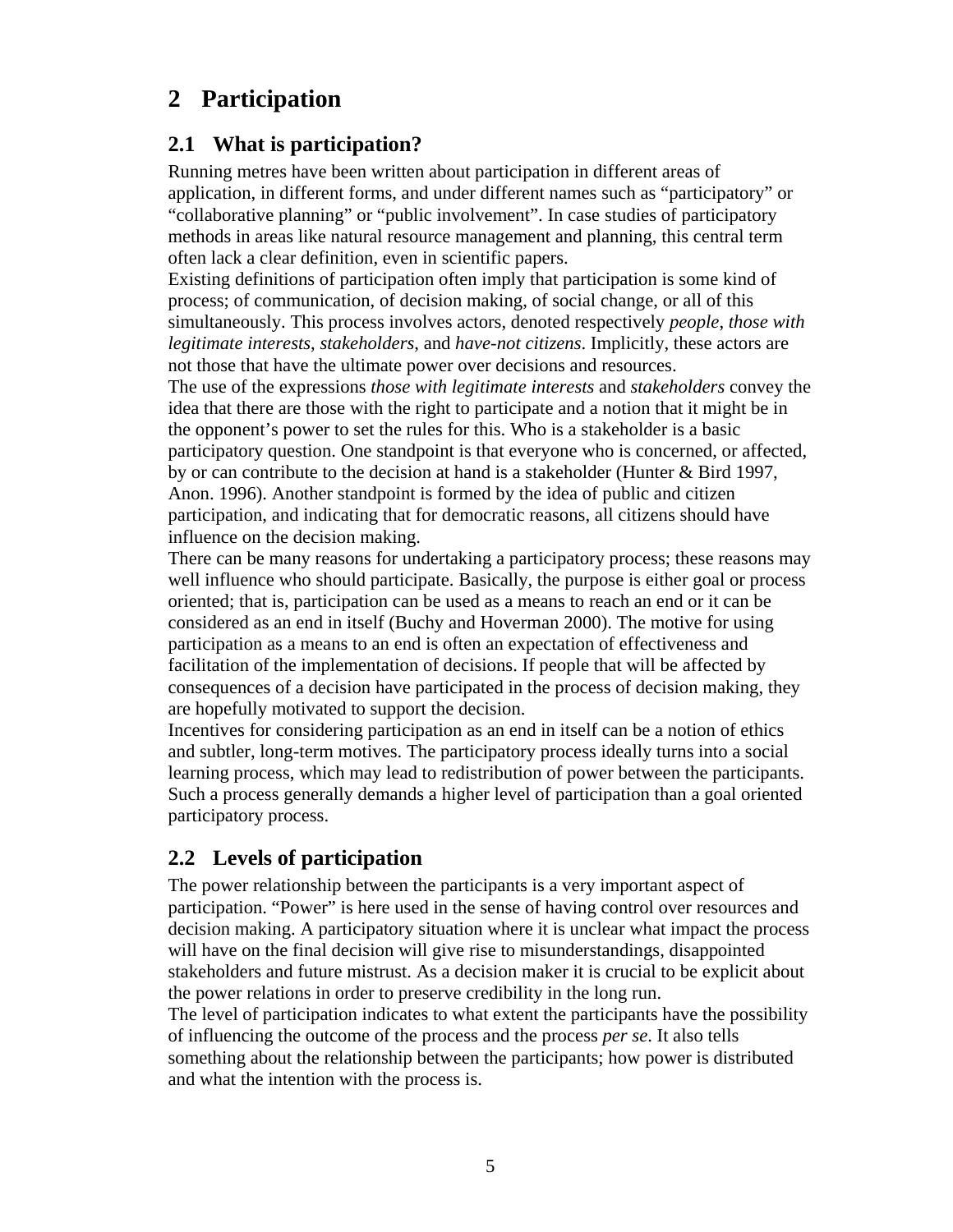# <span id="page-6-0"></span>**2 Participation**

### **2.1 What is participation?**

Running metres have been written about participation in different areas of application, in different forms, and under different names such as "participatory" or "collaborative planning" or "public involvement". In case studies of participatory methods in areas like natural resource management and planning, this central term often lack a clear definition, even in scientific papers.

Existing definitions of participation often imply that participation is some kind of process; of communication, of decision making, of social change, or all of this simultaneously. This process involves actors, denoted respectively *people*, *those with legitimate interests*, *stakeholders*, and *have-not citizens*. Implicitly, these actors are not those that have the ultimate power over decisions and resources.

The use of the expressions *those with legitimate interests* and *stakeholders* convey the idea that there are those with the right to participate and a notion that it might be in the opponent's power to set the rules for this. Who is a stakeholder is a basic participatory question. One standpoint is that everyone who is concerned, or affected, by or can contribute to the decision at hand is a stakeholder (Hunter & Bird 1997, Anon. 1996). Another standpoint is formed by the idea of public and citizen participation, and indicating that for democratic reasons, all citizens should have influence on the decision making.

There can be many reasons for undertaking a participatory process; these reasons may well influence who should participate. Basically, the purpose is either goal or process oriented; that is, participation can be used as a means to reach an end or it can be considered as an end in itself (Buchy and Hoverman 2000). The motive for using participation as a means to an end is often an expectation of effectiveness and facilitation of the implementation of decisions. If people that will be affected by consequences of a decision have participated in the process of decision making, they are hopefully motivated to support the decision.

Incentives for considering participation as an end in itself can be a notion of ethics and subtler, long-term motives. The participatory process ideally turns into a social learning process, which may lead to redistribution of power between the participants. Such a process generally demands a higher level of participation than a goal oriented participatory process.

### **2.2 Levels of participation**

The power relationship between the participants is a very important aspect of participation. "Power" is here used in the sense of having control over resources and decision making. A participatory situation where it is unclear what impact the process will have on the final decision will give rise to misunderstandings, disappointed stakeholders and future mistrust. As a decision maker it is crucial to be explicit about the power relations in order to preserve credibility in the long run.

The level of participation indicates to what extent the participants have the possibility of influencing the outcome of the process and the process *per se*. It also tells something about the relationship between the participants; how power is distributed and what the intention with the process is.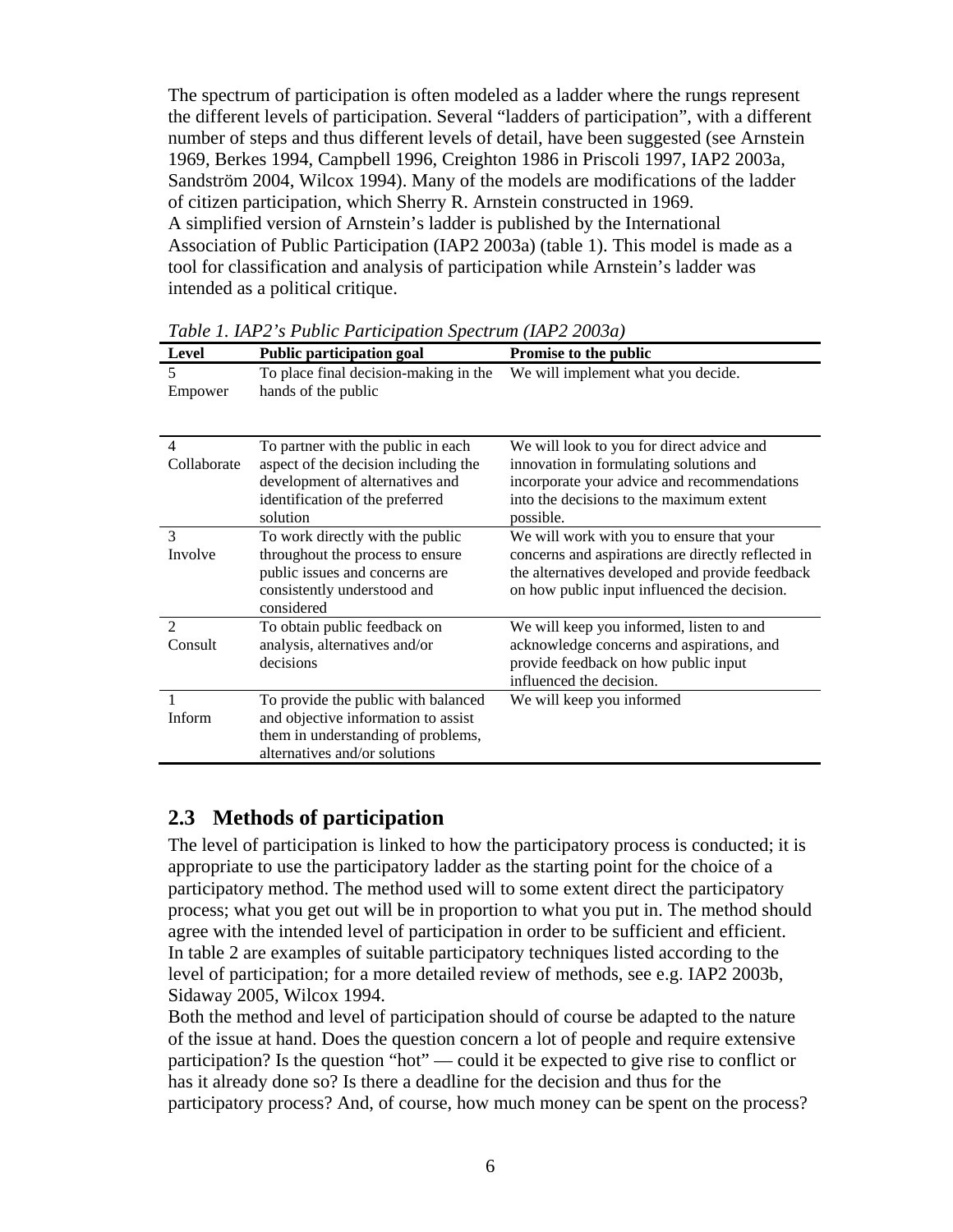<span id="page-7-0"></span>The spectrum of participation is often modeled as a ladder where the rungs represent the different levels of participation. Several "ladders of participation", with a different number of steps and thus different levels of detail, have been suggested (see Arnstein 1969, Berkes 1994, Campbell 1996, Creighton 1986 in Priscoli 1997, IAP2 2003a, Sandström 2004, Wilcox 1994). Many of the models are modifications of the ladder of citizen participation, which Sherry R. Arnstein constructed in 1969. A simplified version of Arnstein's ladder is published by the International Association of Public Participation (IAP2 2003a) (table 1). This model is made as a tool for classification and analysis of participation while Arnstein's ladder was intended as a political critique.

| Level          | <b>Public participation goal</b>                             | Promise to the public                              |
|----------------|--------------------------------------------------------------|----------------------------------------------------|
| 5<br>Empower   | To place final decision-making in the<br>hands of the public | We will implement what you decide.                 |
| 4              | To partner with the public in each                           | We will look to you for direct advice and          |
| Collaborate    | aspect of the decision including the                         | innovation in formulating solutions and            |
|                | development of alternatives and                              | incorporate your advice and recommendations        |
|                | identification of the preferred                              | into the decisions to the maximum extent           |
|                | solution                                                     | possible.                                          |
| 3              | To work directly with the public                             | We will work with you to ensure that your          |
| Involve        | throughout the process to ensure                             | concerns and aspirations are directly reflected in |
|                | public issues and concerns are                               | the alternatives developed and provide feedback    |
|                | consistently understood and                                  | on how public input influenced the decision.       |
|                | considered                                                   |                                                    |
| $\mathfrak{D}$ | To obtain public feedback on                                 | We will keep you informed, listen to and           |
| Consult        | analysis, alternatives and/or                                | acknowledge concerns and aspirations, and          |
|                | decisions                                                    | provide feedback on how public input               |
|                |                                                              | influenced the decision.                           |
|                | To provide the public with balanced                          | We will keep you informed                          |
| Inform         | and objective information to assist                          |                                                    |
|                | them in understanding of problems,                           |                                                    |
|                | alternatives and/or solutions                                |                                                    |

*Table 1. IAP2's Public Participation Spectrum (IAP2 2003a)*

#### **2.3 Methods of participation**

The level of participation is linked to how the participatory process is conducted; it is appropriate to use the participatory ladder as the starting point for the choice of a participatory method. The method used will to some extent direct the participatory process; what you get out will be in proportion to what you put in. The method should agree with the intended level of participation in order to be sufficient and efficient. In table 2 are examples of suitable participatory techniques listed according to the level of participation; for a more detailed review of methods, see e.g. IAP2 2003b, Sidaway 2005, Wilcox 1994.

Both the method and level of participation should of course be adapted to the nature of the issue at hand. Does the question concern a lot of people and require extensive participation? Is the question "hot" — could it be expected to give rise to conflict or has it already done so? Is there a deadline for the decision and thus for the participatory process? And, of course, how much money can be spent on the process?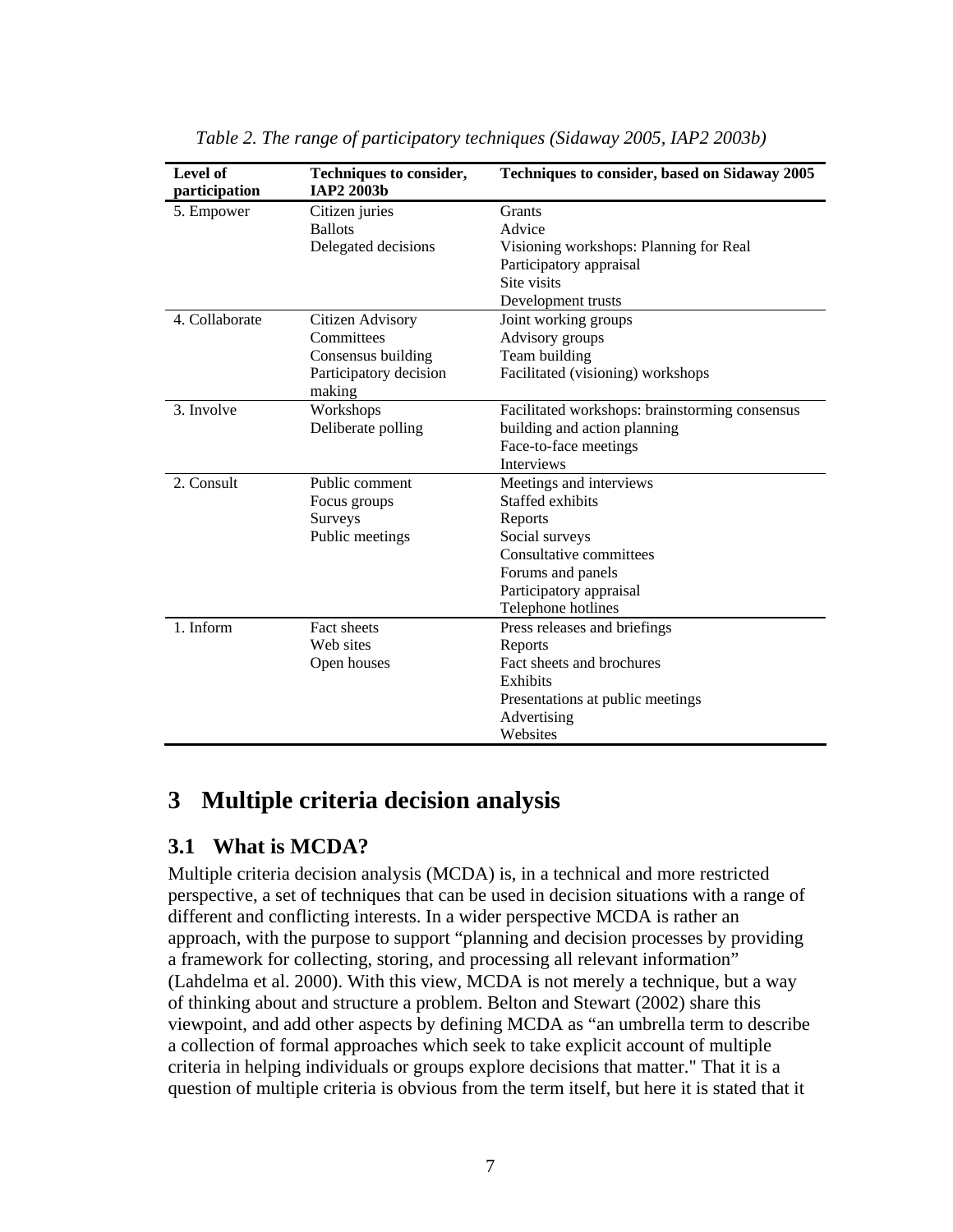<span id="page-8-0"></span>

| Level of<br>participation | Techniques to consider,<br>IAP2 2003b | Techniques to consider, based on Sidaway 2005  |
|---------------------------|---------------------------------------|------------------------------------------------|
| 5. Empower                | Citizen juries                        | Grants                                         |
|                           | <b>Ballots</b>                        | Advice                                         |
|                           | Delegated decisions                   | Visioning workshops: Planning for Real         |
|                           |                                       | Participatory appraisal                        |
|                           |                                       | Site visits                                    |
|                           |                                       | Development trusts                             |
| 4. Collaborate            | Citizen Advisory                      | Joint working groups                           |
|                           | Committees                            | Advisory groups                                |
|                           | Consensus building                    | Team building                                  |
|                           | Participatory decision                | Facilitated (visioning) workshops              |
|                           | making                                |                                                |
| 3. Involve                | Workshops                             | Facilitated workshops: brainstorming consensus |
|                           | Deliberate polling                    | building and action planning                   |
|                           |                                       | Face-to-face meetings                          |
|                           |                                       | <b>Interviews</b>                              |
| 2. Consult                | Public comment                        | Meetings and interviews                        |
|                           | Focus groups                          | Staffed exhibits                               |
|                           | Surveys                               | Reports                                        |
|                           | Public meetings                       | Social surveys                                 |
|                           |                                       | Consultative committees                        |
|                           |                                       | Forums and panels                              |
|                           |                                       | Participatory appraisal                        |
|                           |                                       | Telephone hotlines                             |
| 1. Inform                 | Fact sheets                           | Press releases and briefings                   |
|                           | Web sites                             | Reports                                        |
|                           | Open houses                           | Fact sheets and brochures                      |
|                           |                                       | Exhibits                                       |
|                           |                                       | Presentations at public meetings               |
|                           |                                       | Advertising                                    |
|                           |                                       | Websites                                       |

*Table 2. The range of participatory techniques (Sidaway 2005, IAP2 2003b)*

### **3 Multiple criteria decision analysis**

#### **3.1 What is MCDA?**

Multiple criteria decision analysis (MCDA) is, in a technical and more restricted perspective, a set of techniques that can be used in decision situations with a range of different and conflicting interests. In a wider perspective MCDA is rather an approach, with the purpose to support "planning and decision processes by providing a framework for collecting, storing, and processing all relevant information" (Lahdelma et al. 2000). With this view, MCDA is not merely a technique, but a way of thinking about and structure a problem. Belton and Stewart (2002) share this viewpoint, and add other aspects by defining MCDA as "an umbrella term to describe a collection of formal approaches which seek to take explicit account of multiple criteria in helping individuals or groups explore decisions that matter." That it is a question of multiple criteria is obvious from the term itself, but here it is stated that it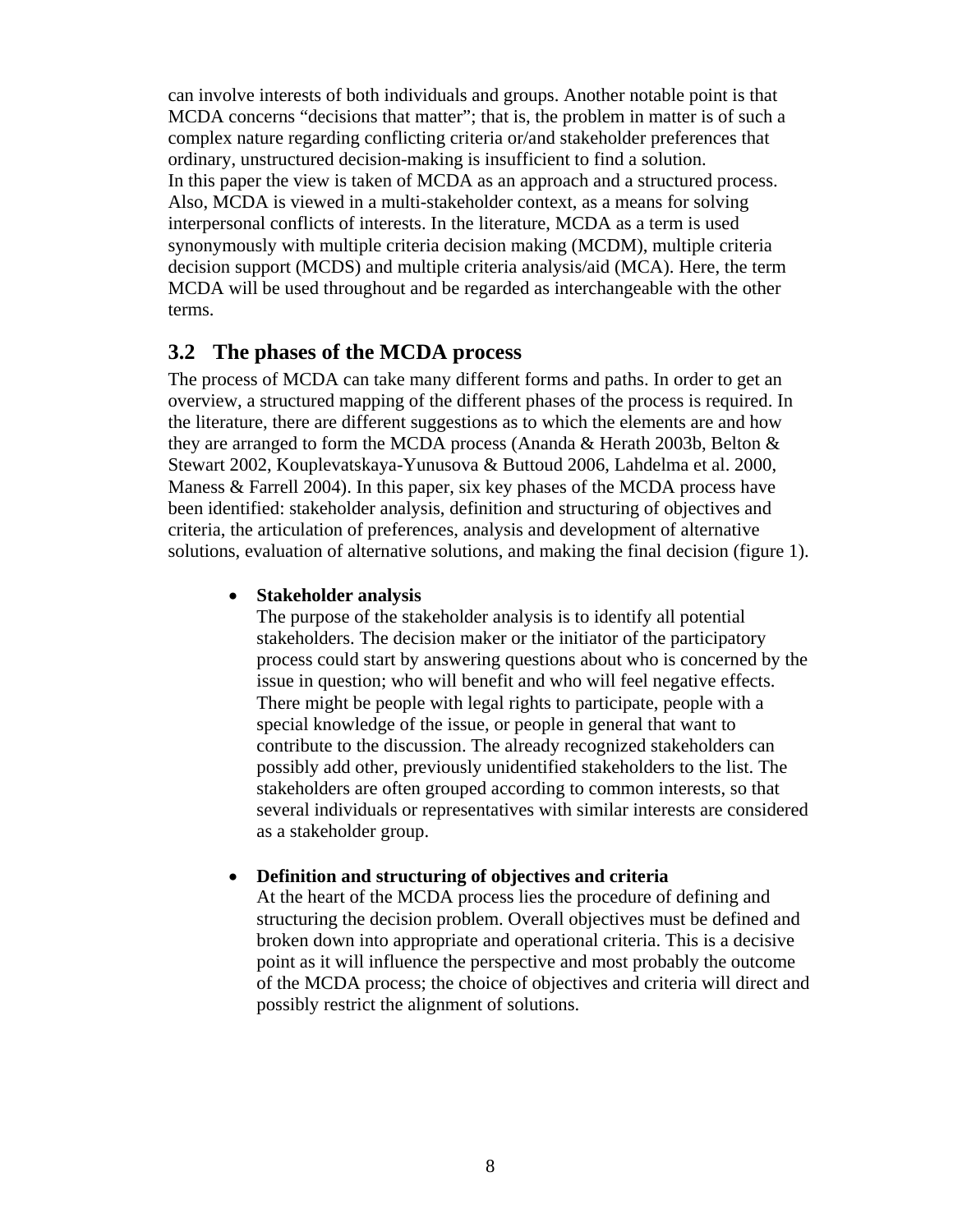<span id="page-9-0"></span>can involve interests of both individuals and groups. Another notable point is that MCDA concerns "decisions that matter"; that is, the problem in matter is of such a complex nature regarding conflicting criteria or/and stakeholder preferences that ordinary, unstructured decision-making is insufficient to find a solution. In this paper the view is taken of MCDA as an approach and a structured process. Also, MCDA is viewed in a multi-stakeholder context, as a means for solving interpersonal conflicts of interests. In the literature, MCDA as a term is used synonymously with multiple criteria decision making (MCDM), multiple criteria decision support (MCDS) and multiple criteria analysis/aid (MCA). Here, the term MCDA will be used throughout and be regarded as interchangeable with the other terms.

#### **3.2 The phases of the MCDA process**

The process of MCDA can take many different forms and paths. In order to get an overview, a structured mapping of the different phases of the process is required. In the literature, there are different suggestions as to which the elements are and how they are arranged to form the MCDA process (Ananda & Herath 2003b, Belton & Stewart 2002, Kouplevatskaya-Yunusova & Buttoud 2006, Lahdelma et al. 2000, Maness & Farrell 2004). In this paper, six key phases of the MCDA process have been identified: stakeholder analysis, definition and structuring of objectives and criteria, the articulation of preferences, analysis and development of alternative solutions, evaluation of alternative solutions, and making the final decision (figure 1).

#### • **Stakeholder analysis**

The purpose of the stakeholder analysis is to identify all potential stakeholders. The decision maker or the initiator of the participatory process could start by answering questions about who is concerned by the issue in question; who will benefit and who will feel negative effects. There might be people with legal rights to participate, people with a special knowledge of the issue, or people in general that want to contribute to the discussion. The already recognized stakeholders can possibly add other, previously unidentified stakeholders to the list. The stakeholders are often grouped according to common interests, so that several individuals or representatives with similar interests are considered as a stakeholder group.

#### • **Definition and structuring of objectives and criteria**

At the heart of the MCDA process lies the procedure of defining and structuring the decision problem. Overall objectives must be defined and broken down into appropriate and operational criteria. This is a decisive point as it will influence the perspective and most probably the outcome of the MCDA process; the choice of objectives and criteria will direct and possibly restrict the alignment of solutions.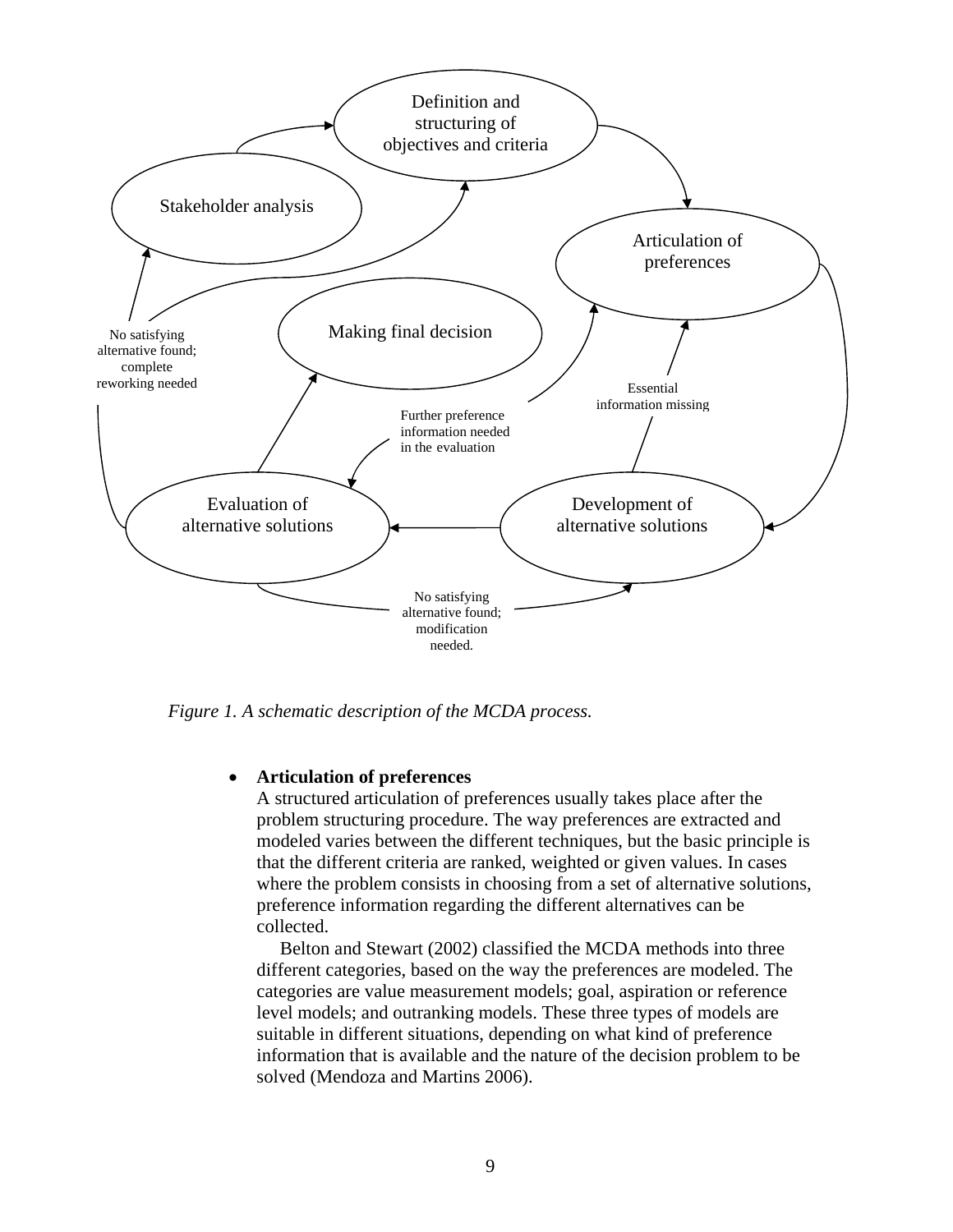

*Figure 1. A schematic description of the MCDA process.* 

#### • **Articulation of preferences**

A structured articulation of preferences usually takes place after the problem structuring procedure. The way preferences are extracted and modeled varies between the different techniques, but the basic principle is that the different criteria are ranked, weighted or given values. In cases where the problem consists in choosing from a set of alternative solutions, preference information regarding the different alternatives can be collected.

Belton and Stewart (2002) classified the MCDA methods into three different categories, based on the way the preferences are modeled. The categories are value measurement models; goal, aspiration or reference level models; and outranking models. These three types of models are suitable in different situations, depending on what kind of preference information that is available and the nature of the decision problem to be solved (Mendoza and Martins 2006).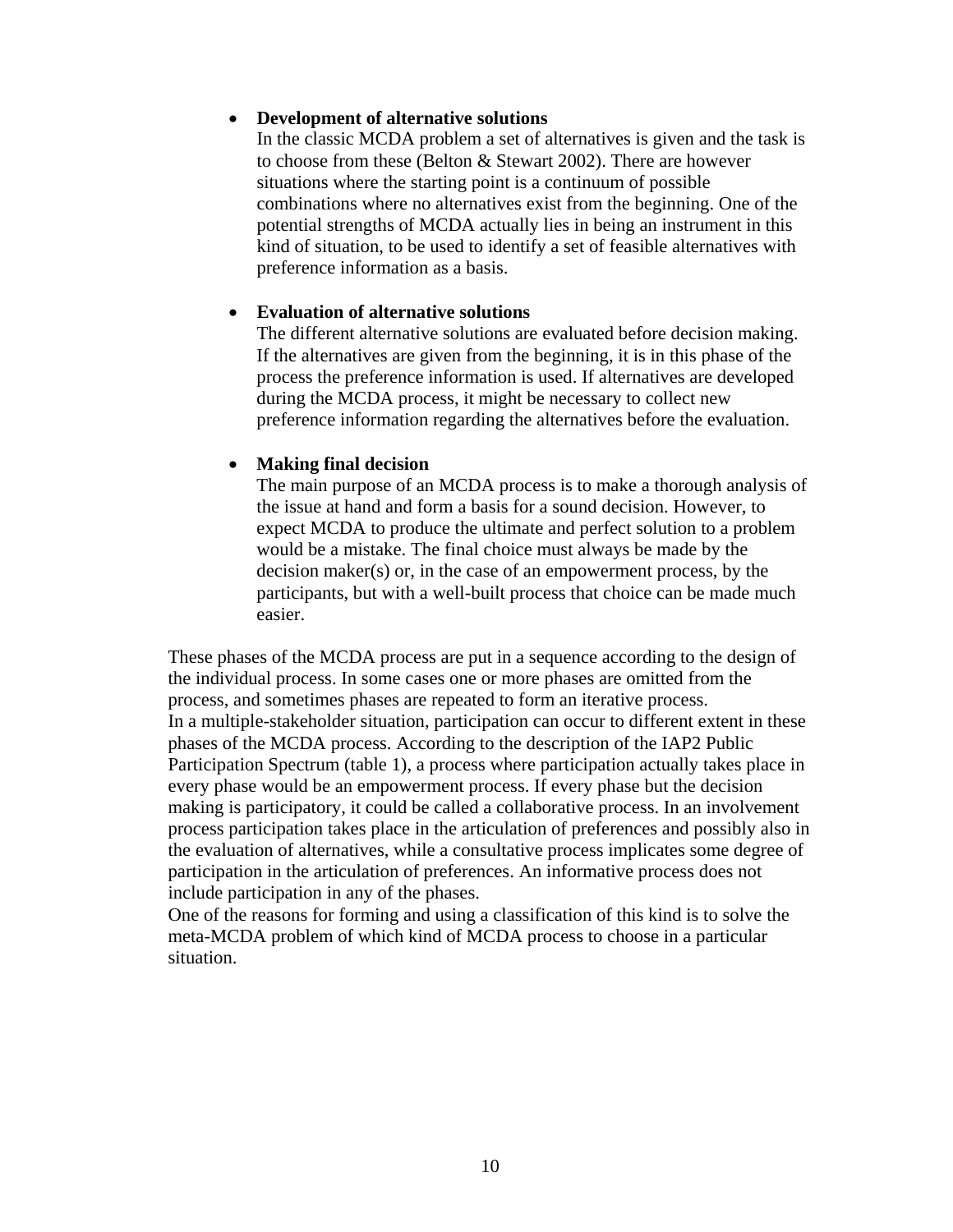#### • **Development of alternative solutions**

In the classic MCDA problem a set of alternatives is given and the task is to choose from these (Belton & Stewart 2002). There are however situations where the starting point is a continuum of possible combinations where no alternatives exist from the beginning. One of the potential strengths of MCDA actually lies in being an instrument in this kind of situation, to be used to identify a set of feasible alternatives with preference information as a basis.

#### • **Evaluation of alternative solutions**

The different alternative solutions are evaluated before decision making. If the alternatives are given from the beginning, it is in this phase of the process the preference information is used. If alternatives are developed during the MCDA process, it might be necessary to collect new preference information regarding the alternatives before the evaluation.

#### • **Making final decision**

The main purpose of an MCDA process is to make a thorough analysis of the issue at hand and form a basis for a sound decision. However, to expect MCDA to produce the ultimate and perfect solution to a problem would be a mistake. The final choice must always be made by the decision maker(s) or, in the case of an empowerment process, by the participants, but with a well-built process that choice can be made much easier.

These phases of the MCDA process are put in a sequence according to the design of the individual process. In some cases one or more phases are omitted from the process, and sometimes phases are repeated to form an iterative process. In a multiple-stakeholder situation, participation can occur to different extent in these phases of the MCDA process. According to the description of the IAP2 Public Participation Spectrum (table 1), a process where participation actually takes place in every phase would be an empowerment process. If every phase but the decision making is participatory, it could be called a collaborative process. In an involvement process participation takes place in the articulation of preferences and possibly also in the evaluation of alternatives, while a consultative process implicates some degree of participation in the articulation of preferences. An informative process does not include participation in any of the phases.

One of the reasons for forming and using a classification of this kind is to solve the meta-MCDA problem of which kind of MCDA process to choose in a particular situation.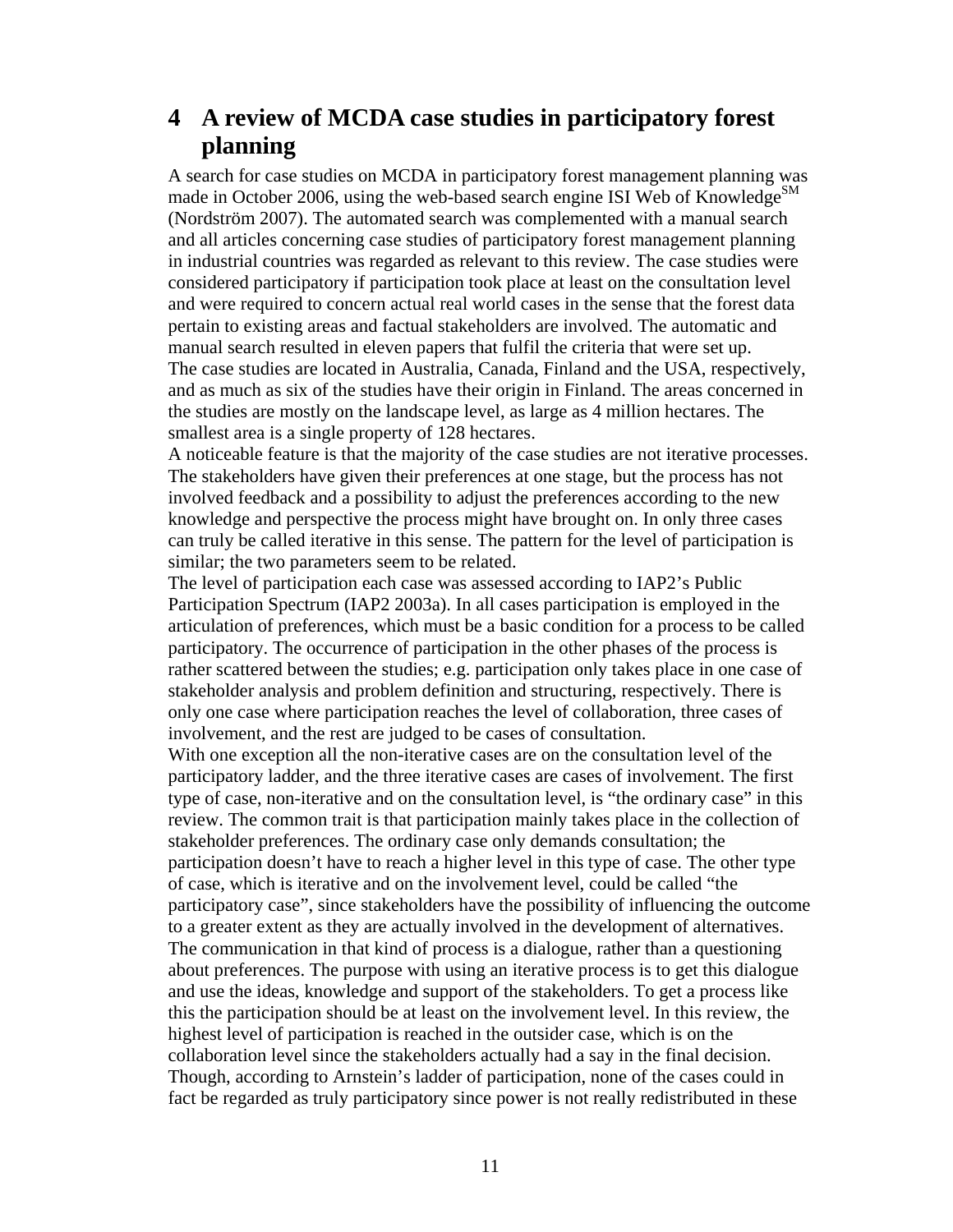### <span id="page-12-0"></span>**4 A review of MCDA case studies in participatory forest planning**

A search for case studies on MCDA in participatory forest management planning was made in October 2006, using the web-based search engine ISI Web of Knowledge<sup>SM</sup> (Nordström 2007). The automated search was complemented with a manual search and all articles concerning case studies of participatory forest management planning in industrial countries was regarded as relevant to this review. The case studies were considered participatory if participation took place at least on the consultation level and were required to concern actual real world cases in the sense that the forest data pertain to existing areas and factual stakeholders are involved. The automatic and manual search resulted in eleven papers that fulfil the criteria that were set up. The case studies are located in Australia, Canada, Finland and the USA, respectively, and as much as six of the studies have their origin in Finland. The areas concerned in the studies are mostly on the landscape level, as large as 4 million hectares. The smallest area is a single property of 128 hectares.

A noticeable feature is that the majority of the case studies are not iterative processes. The stakeholders have given their preferences at one stage, but the process has not involved feedback and a possibility to adjust the preferences according to the new knowledge and perspective the process might have brought on. In only three cases can truly be called iterative in this sense. The pattern for the level of participation is similar; the two parameters seem to be related.

The level of participation each case was assessed according to IAP2's Public Participation Spectrum (IAP2 2003a). In all cases participation is employed in the articulation of preferences, which must be a basic condition for a process to be called participatory. The occurrence of participation in the other phases of the process is rather scattered between the studies; e.g. participation only takes place in one case of stakeholder analysis and problem definition and structuring, respectively. There is only one case where participation reaches the level of collaboration, three cases of involvement, and the rest are judged to be cases of consultation.

With one exception all the non-iterative cases are on the consultation level of the participatory ladder, and the three iterative cases are cases of involvement. The first type of case, non-iterative and on the consultation level, is "the ordinary case" in this review. The common trait is that participation mainly takes place in the collection of stakeholder preferences. The ordinary case only demands consultation; the participation doesn't have to reach a higher level in this type of case. The other type of case, which is iterative and on the involvement level, could be called "the participatory case", since stakeholders have the possibility of influencing the outcome to a greater extent as they are actually involved in the development of alternatives. The communication in that kind of process is a dialogue, rather than a questioning about preferences. The purpose with using an iterative process is to get this dialogue and use the ideas, knowledge and support of the stakeholders. To get a process like this the participation should be at least on the involvement level. In this review, the highest level of participation is reached in the outsider case, which is on the collaboration level since the stakeholders actually had a say in the final decision. Though, according to Arnstein's ladder of participation, none of the cases could in fact be regarded as truly participatory since power is not really redistributed in these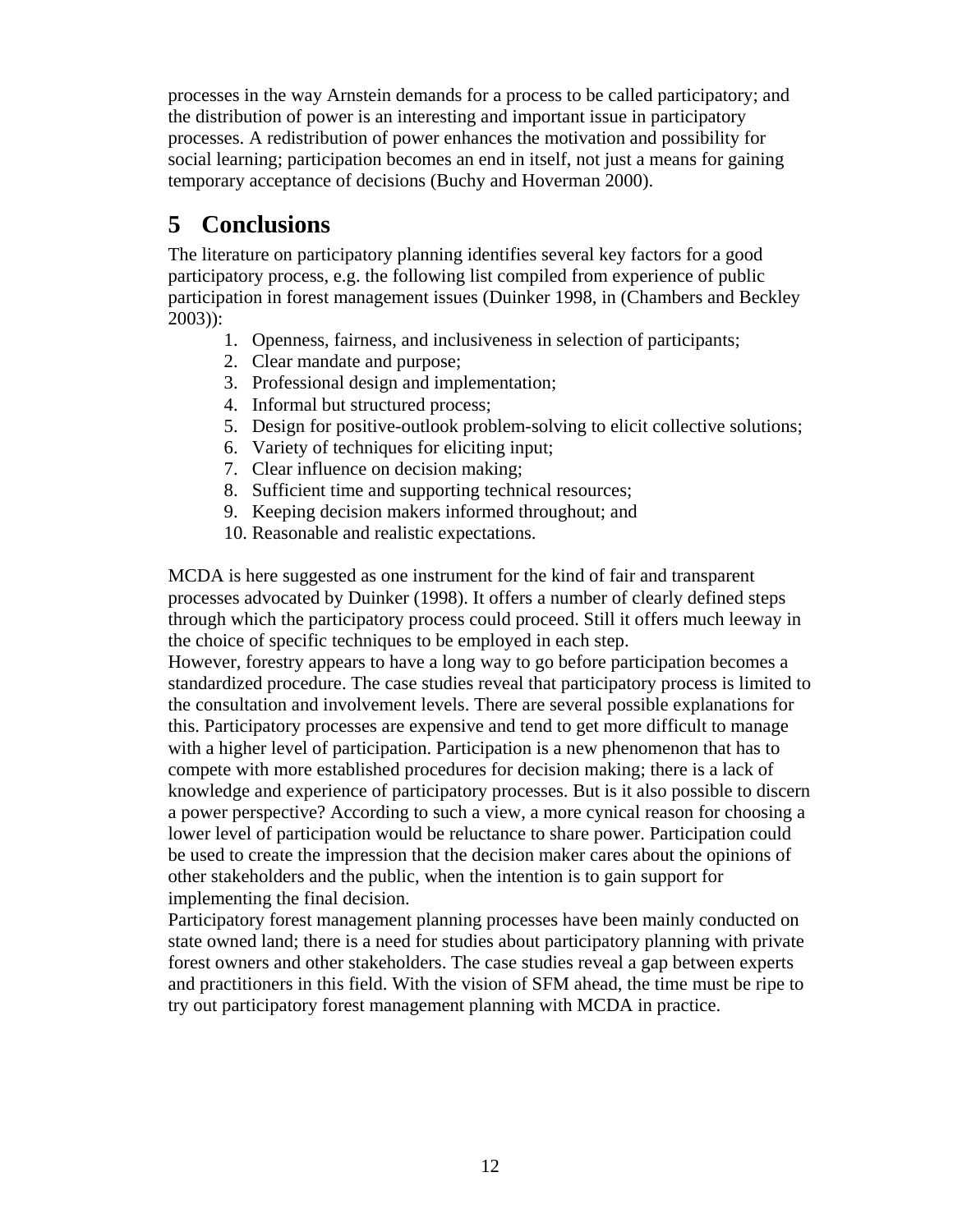<span id="page-13-0"></span>processes in the way Arnstein demands for a process to be called participatory; and the distribution of power is an interesting and important issue in participatory processes. A redistribution of power enhances the motivation and possibility for social learning; participation becomes an end in itself, not just a means for gaining temporary acceptance of decisions (Buchy and Hoverman 2000).

# **5 Conclusions**

The literature on participatory planning identifies several key factors for a good participatory process, e.g. the following list compiled from experience of public participation in forest management issues (Duinker 1998, in (Chambers and Beckley  $2003$ ):

- 1. Openness, fairness, and inclusiveness in selection of participants;
- 2. Clear mandate and purpose;
- 3. Professional design and implementation;
- 4. Informal but structured process;
- 5. Design for positive-outlook problem-solving to elicit collective solutions;
- 6. Variety of techniques for eliciting input;
- 7. Clear influence on decision making;
- 8. Sufficient time and supporting technical resources;
- 9. Keeping decision makers informed throughout; and
- 10. Reasonable and realistic expectations.

MCDA is here suggested as one instrument for the kind of fair and transparent processes advocated by Duinker (1998). It offers a number of clearly defined steps through which the participatory process could proceed. Still it offers much leeway in the choice of specific techniques to be employed in each step.

However, forestry appears to have a long way to go before participation becomes a standardized procedure. The case studies reveal that participatory process is limited to the consultation and involvement levels. There are several possible explanations for this. Participatory processes are expensive and tend to get more difficult to manage with a higher level of participation. Participation is a new phenomenon that has to compete with more established procedures for decision making; there is a lack of knowledge and experience of participatory processes. But is it also possible to discern a power perspective? According to such a view, a more cynical reason for choosing a lower level of participation would be reluctance to share power. Participation could be used to create the impression that the decision maker cares about the opinions of other stakeholders and the public, when the intention is to gain support for implementing the final decision.

Participatory forest management planning processes have been mainly conducted on state owned land; there is a need for studies about participatory planning with private forest owners and other stakeholders. The case studies reveal a gap between experts and practitioners in this field. With the vision of SFM ahead, the time must be ripe to try out participatory forest management planning with MCDA in practice.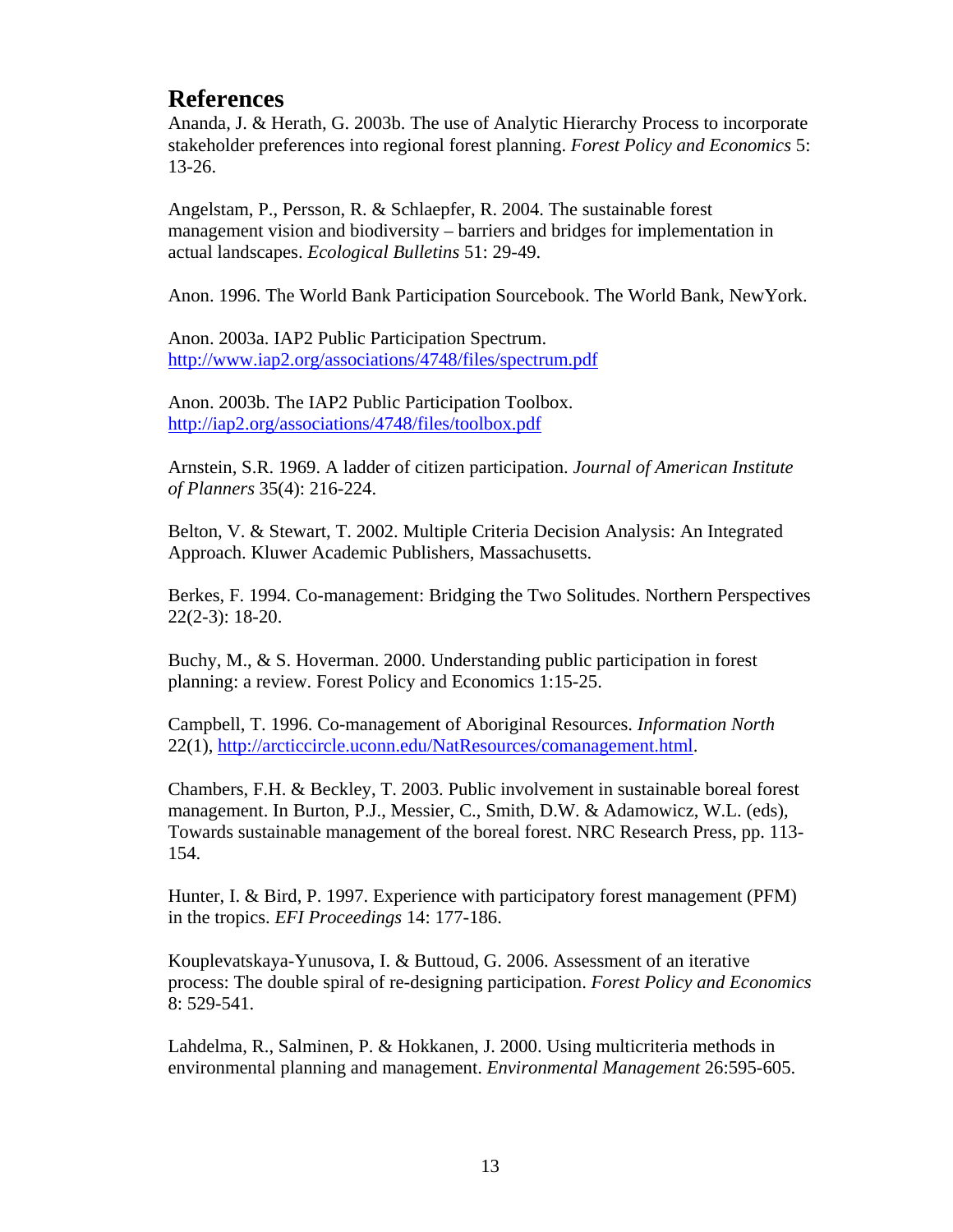### <span id="page-14-0"></span>**References**

Ananda, J. & Herath, G. 2003b. The use of Analytic Hierarchy Process to incorporate stakeholder preferences into regional forest planning. *Forest Policy and Economics* 5: 13-26.

Angelstam, P., Persson, R. & Schlaepfer, R. 2004. The sustainable forest management vision and biodiversity – barriers and bridges for implementation in actual landscapes. *Ecological Bulletins* 51: 29-49.

Anon. 1996. The World Bank Participation Sourcebook. The World Bank, NewYork.

Anon. 2003a. IAP2 Public Participation Spectrum. <http://www.iap2.org/associations/4748/files/spectrum.pdf>

Anon. 2003b. The IAP2 Public Participation Toolbox. <http://iap2.org/associations/4748/files/toolbox.pdf>

Arnstein, S.R. 1969. A ladder of citizen participation. *Journal of American Institute of Planners* 35(4): 216-224.

Belton, V. & Stewart, T. 2002. Multiple Criteria Decision Analysis: An Integrated Approach. Kluwer Academic Publishers, Massachusetts.

Berkes, F. 1994. Co-management: Bridging the Two Solitudes. Northern Perspectives 22(2-3): 18-20.

Buchy, M., & S. Hoverman. 2000. Understanding public participation in forest planning: a review. Forest Policy and Economics 1:15-25.

Campbell, T. 1996. Co-management of Aboriginal Resources. *Information North* 22(1), [http://arcticcircle.uconn.edu/NatResources/comanagement.html.](http://arcticcircle.uconn.edu/NatResources/comanagement.html)

Chambers, F.H. & Beckley, T. 2003. Public involvement in sustainable boreal forest management. In Burton, P.J., Messier, C., Smith, D.W. & Adamowicz, W.L. (eds), Towards sustainable management of the boreal forest. NRC Research Press, pp. 113- 154.

Hunter, I. & Bird, P. 1997. Experience with participatory forest management (PFM) in the tropics. *EFI Proceedings* 14: 177-186.

Kouplevatskaya-Yunusova, I. & Buttoud, G. 2006. Assessment of an iterative process: The double spiral of re-designing participation. *Forest Policy and Economics* 8: 529-541.

Lahdelma, R., Salminen, P. & Hokkanen, J. 2000. Using multicriteria methods in environmental planning and management. *Environmental Management* 26:595-605.